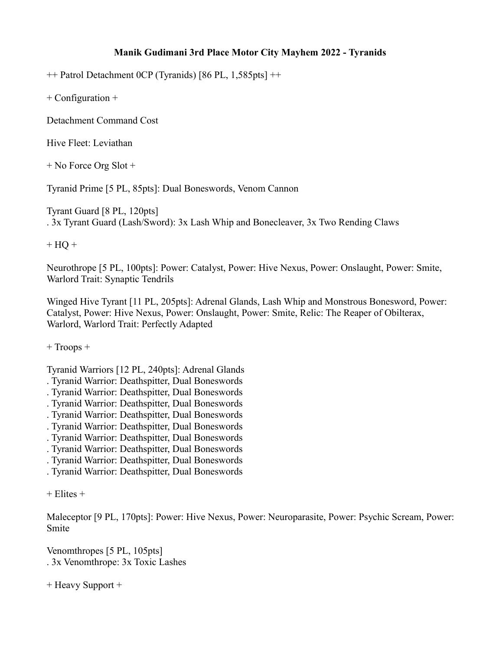## **Manik Gudimani 3rd Place Motor City Mayhem 2022 - Tyranids**

++ Patrol Detachment 0CP (Tyranids) [86 PL, 1,585pts] ++

+ Configuration +

Detachment Command Cost

Hive Fleet: Leviathan

+ No Force Org Slot +

Tyranid Prime [5 PL, 85pts]: Dual Boneswords, Venom Cannon

Tyrant Guard [8 PL, 120pts] . 3x Tyrant Guard (Lash/Sword): 3x Lash Whip and Bonecleaver, 3x Two Rending Claws

 $+ HO +$ 

Neurothrope [5 PL, 100pts]: Power: Catalyst, Power: Hive Nexus, Power: Onslaught, Power: Smite, Warlord Trait: Synaptic Tendrils

Winged Hive Tyrant [11 PL, 205pts]: Adrenal Glands, Lash Whip and Monstrous Bonesword, Power: Catalyst, Power: Hive Nexus, Power: Onslaught, Power: Smite, Relic: The Reaper of Obilterax, Warlord, Warlord Trait: Perfectly Adapted

+ Troops +

Tyranid Warriors [12 PL, 240pts]: Adrenal Glands

- . Tyranid Warrior: Deathspitter, Dual Boneswords
- . Tyranid Warrior: Deathspitter, Dual Boneswords
- . Tyranid Warrior: Deathspitter, Dual Boneswords
- . Tyranid Warrior: Deathspitter, Dual Boneswords
- . Tyranid Warrior: Deathspitter, Dual Boneswords
- . Tyranid Warrior: Deathspitter, Dual Boneswords
- . Tyranid Warrior: Deathspitter, Dual Boneswords
- . Tyranid Warrior: Deathspitter, Dual Boneswords
- . Tyranid Warrior: Deathspitter, Dual Boneswords

Maleceptor [9 PL, 170pts]: Power: Hive Nexus, Power: Neuroparasite, Power: Psychic Scream, Power: Smite

Venomthropes [5 PL, 105pts] . 3x Venomthrope: 3x Toxic Lashes

+ Heavy Support +

 $+$  Elites  $+$